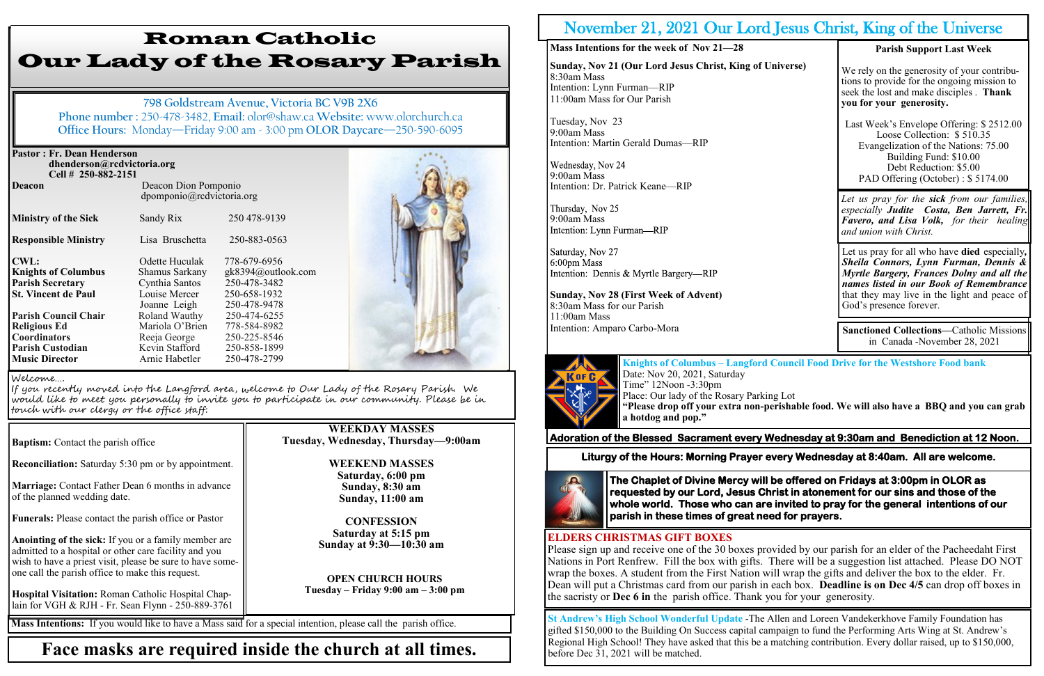| <b>Pastor: Fr. Dean Henderson</b><br>dhenderson@rcdvictoria.org<br>Cell # 250-882-2151 |                                                   |
|----------------------------------------------------------------------------------------|---------------------------------------------------|
| <b>Deacon</b>                                                                          | Deacon Dion Pomponio<br>dpomponio@rcdvictoria.org |

**Ministry of the Sick** Sandy Rix 250 478-9139 **Responsible Ministry** Lisa Bruschetta 250-883-0563 **CWL:** Odette Huculak 778-679-6956 **Knights of Columbus** Shamus Sarkany gk8394@outlook.com **Parish Secretary** Cynthia Santos 250-478-3482 **St. Vincent de Paul** Louise Mercer 250-658-1932 Joanne Leigh 250-478-9478<br>Roland Wauthy 250-474-6255 **Parish Council Chair** Roland Wauthy 250-474-6255 **Religious Ed Mariola O'Brien 778-584-8982 Coordinators** Reeja George 250-225-8546<br> **Parish Custodian** Kevin Stafford 250-858-1899 **Parish Custodian Kevin Stafford Music Director Arnie Habetler** 250-478-2799



**Reconciliation:** Saturday 5:30 pm or by appointment.

**Marriage:** Contact Father Dean 6 months in advance of the planned wedding date.

**Funerals:** Please contact the parish office or Pastor

**Anointing of the sick:** If you or a family member are admitted to a hospital or other care facility and you wish to have a priest visit, please be sure to have someone call the parish office to make this request.

**Hospital Visitation:** Roman Catholic Hospital Chaplain for VGH & RJH - Fr. Sean Flynn - 250-889-3761 Sunday, Nov 21 (Our Lord Jesus Christ, King of **Universe)** 8:30am Mass Intention: Lynn Furman—RIP 11:00am Mass for Our Parish

# Roman Catholic Our Lady of the Rosary Parish

**798 Goldstream Avenue, Victoria BC V9B 2X6 Phone number :** 250-478-3482, **Email:** olor@shaw.ca **Website:** www.olorchurch.ca **Office Hours:** Monday—Friday 9:00 am - 3:00 pm **OLOR Daycare**—250-590-6095

> **WEEKDAY MASSES Tuesday, Wednesday, Thursday—9:00am**

> > **WEEKEND MASSES Saturday, 6:00 pm Sunday, 8:30 am Sunday, 11:00 am**

**CONFESSION Saturday at 5:15 pm Sunday at 9:30—10:30 am**

**OPEN CHURCH HOURS Tuesday – Friday 9:00 am – 3:00 pm**

#### Welcome….

If you recently moved into the Langford area, welcome to Our Lady of the Rosary Parish. We would like to meet you personally to invite you to participate in our community. Please be in touch with our clergy or the office staff:

**Baptism:** Contact the parish office

**Mass Intentions:** If you would like to have a Mass said for a special intention, please call the parish office.

## **Face masks are required inside the church at all times.**

## November 21, 2021 Our Lord

**Mass Intentions for the week of Nov 21—28**

Tuesday, Nov 23 9:00am Mass Intention: Martin Gerald Dumas—RIP

9:00am Mass Intention: Dr. Patrick Keane—RIP

Thursday, Nov 25 9:00am Mass<br>Intention: Lynn Furman—RIP

Saturday, Nov 27 6:00pm Mass Intention: Dennis & Myrtle Bargery—RIP

**Sunday, Nov 28 (First Week of Advent)** 8:30am Mass for our Parish 11:00am Mass Intention: Amparo Carbo-Mora



## **Adoration of the Blessed Sacrament every Wednesday at 9:30am and Benediction at 12 Noon.**

| <b>H</b> Jesus Christ, King of the Universe |                                                                                                                                                                                                                                                                  |  |
|---------------------------------------------|------------------------------------------------------------------------------------------------------------------------------------------------------------------------------------------------------------------------------------------------------------------|--|
|                                             | <b>Parish Support Last Week</b>                                                                                                                                                                                                                                  |  |
| Universe)                                   | We rely on the generosity of your contribu-<br>tions to provide for the ongoing mission to<br>seek the lost and make disciples. Thank<br>you for your generosity.                                                                                                |  |
|                                             | Last Week's Envelope Offering: \$2512.00<br>Loose Collection: \$510.35<br>Evangelization of the Nations: 75.00<br>Building Fund: \$10.00<br>Debt Reduction: \$5.00<br>PAD Offering (October) : \$5174.00                                                         |  |
|                                             | Let us pray for the sick from our families,<br>especially Judite Costa, Ben Jarrett, Fr.<br>Favero, and Lisa Volk, for their healing<br>and union with Christ.                                                                                                   |  |
|                                             | Let us pray for all who have <b>died</b> especially,<br>Sheila Connors, Lynn Furman, Dennis &<br>Myrtle Bargery, Frances Dolny and all the<br>names listed in our Book of Remembrance<br>that they may live in the light and peace of<br>God's presence forever. |  |
|                                             | <b>Sanctioned Collections-Catholic Missions</b><br>in Canada - November 28, 2021                                                                                                                                                                                 |  |

**Knights of Columbus – Langford Council Food Drive for the Westshore Food bank**

Date: Nov 20, 2021, Saturday Time" 12Noon -3:30pm Place: Our lady of the Rosary Parking Lot **a hotdog and pop."**

**"Please drop off your extra non-perishable food. We will also have a BBQ and you can grab** 

### **ELDERS CHRISTMAS GIFT BOXES**

Please sign up and receive one of the 30 boxes provided by our parish for an elder of the Pacheedaht First Nations in Port Renfrew. Fill the box with gifts. There will be a suggestion list attached. Please DO NOT wrap the boxes. A student from the First Nation will wrap the gifts and deliver the box to the elder. Fr. Dean will put a Christmas card from our parish in each box. **Deadline is on Dec 4/5** can drop off boxes in the sacristy or **Dec 6 in** the parish office. Thank you for your generosity.

**Liturgy of the Hours: Morning Prayer every Wednesday at 8:40am. All are welcome.** 



**The Chaplet of Divine Mercy will be offered on Fridays at 3:00pm in OLOR as requested by our Lord, Jesus Christ in atonement for our sins and those of the whole world. Those who can are invited to pray for the general intentions of our parish in these times of great need for prayers.** 

**St Andrew's High School Wonderful Update** -The Allen and Loreen Vandekerkhove Family Foundation has gifted \$150,000 to the Building On Success capital campaign to fund the Performing Arts Wing at St. Andrew's Regional High School! They have asked that this be a matching contribution. Every dollar raised, up to \$150,000, before Dec 31, 2021 will be matched.